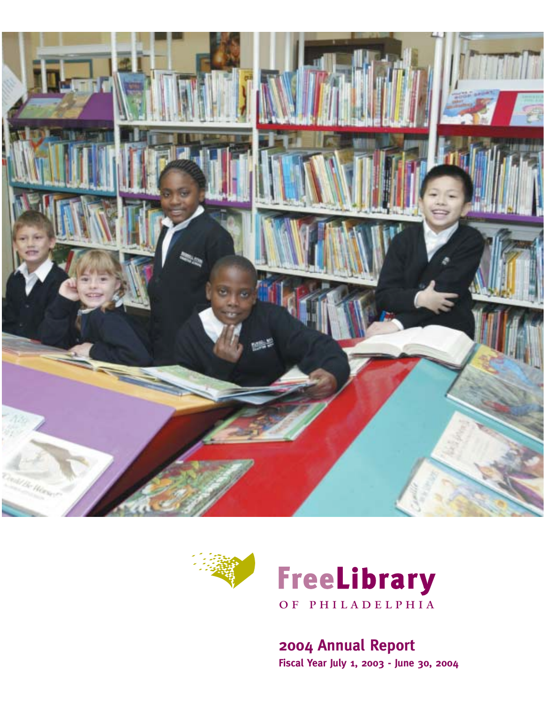





**2004 Annual Report Fiscal Year July 1, 2003 - June 30, 2004**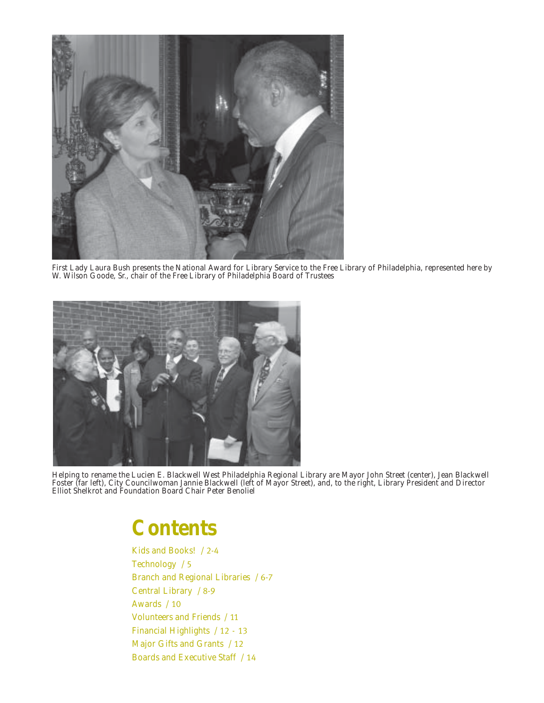

*First Lady Laura Bush presents the National Award for Library Service to the Free Library of Philadelphia, represented here by W. Wilson Goode, Sr., chair of the Free Library of Philadelphia Board of Trustees*



*Helping to rename the Lucien E. Blackwell West Philadelphia Regional Library are Mayor John Street (center), Jean Blackwell Foster (far left), City Councilwoman Jannie Blackwell (left of Mayor Street), and, to the right, Library President and Director Elliot Shelkrot and Foundation Board Chair Peter Benoliel*

## *Contents*

*[Kids and Books!](#page-3-0)* / 2-4 *[Technology](#page-6-0)* / 5 *[Branch and Regional Libraries](#page-7-0)* / 6-7 *[Central Library](#page-9-0)* / 8-9 *[Awards](#page-11-0)* / 10 *[Volunteers and Friends](#page-12-0)* / 11 *Financial Highlights* / 12 - 13 *Major Gifts and Grants* / 12 *[Boards and Executive Staff](#page-15-0)* / 14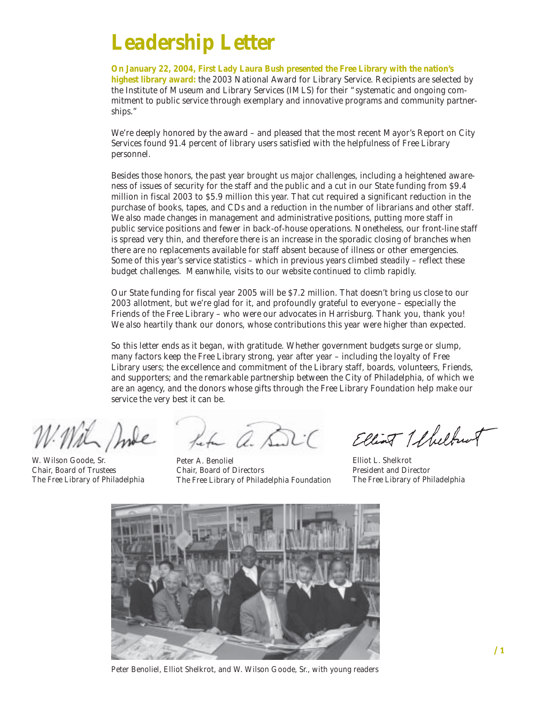# *Leadership Letter*

**On January 22, 2004, First Lady Laura Bush presented the Free Library with the nation's highest library award:** the 2003 National Award for Library Service. Recipients are selected by the Institute of Museum and Library Services (IMLS) for their "systematic and ongoing commitment to public service through exemplary and innovative programs and community partnerships."

We're deeply honored by the award – and pleased that the most recent Mayor's Report on City Services found 91.4 percent of library users satisfied with the helpfulness of Free Library personnel.

Besides those honors, the past year brought us major challenges, including a heightened awareness of issues of security for the staff and the public and a cut in our State funding from \$9.4 million in fiscal 2003 to \$5.9 million this year. That cut required a significant reduction in the purchase of books, tapes, and CDs and a reduction in the number of librarians and other staff. We also made changes in management and administrative positions, putting more staff in public service positions and fewer in back-of-house operations. Nonetheless, our front-line staff is spread very thin, and therefore there is an increase in the sporadic closing of branches when there are no replacements available for staff absent because of illness or other emergencies. Some of this year's service statistics – which in previous years climbed steadily – reflect these budget challenges. Meanwhile, visits to our website continued to climb rapidly.

Our State funding for fiscal year 2005 will be \$7.2 million. That doesn't bring us close to our 2003 allotment, but we're glad for it, and profoundly grateful to everyone – especially the Friends of the Free Library – who were our advocates in Harrisburg. Thank you, thank you! We also heartily thank our donors, whose contributions this year were higher than expected.

So this letter ends as it began, with gratitude. Whether government budgets surge or slump, many factors keep the Free Library strong, year after year – including the loyalty of Free Library users; the excellence and commitment of the Library staff, boards, volunteers, Friends, and supporters; and the remarkable partnership between the City of Philadelphia, of which we are an agency, and the donors whose gifts through the Free Library Foundation help make our service the very best it can be.

W. Wilson Goode, Sr. Chair, Board of Trustees The Free Library of Philadelphia

Life a. Di

Peter A. Benoliel Chair, Board of Directors The Free Library of Philadelphia Foundation

Elliot 1 fluthwa

Elliot L. Shelkrot President and Director The Free Library of Philadelphia



*Peter Benoliel, Elliot Shelkrot, and W. Wilson Goode, Sr., with young readers*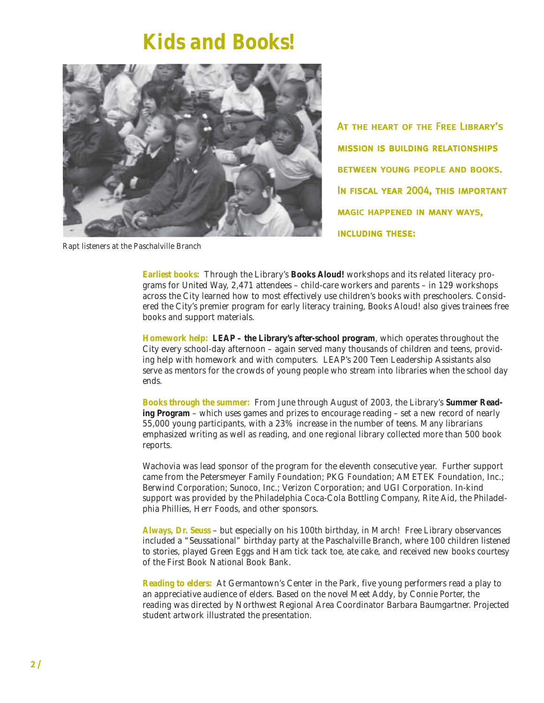## *Kids and Books!*

<span id="page-3-0"></span>

At the heart of the Free Library's mission is building relationships **BETWEEN YOUNG PEOPLE AND BOOKS.** In fiscal year 2004, this important **MAGIC HAPPENED IN MANY WAYS,** including these:

*Rapt listeners at the Paschalville Branch*

**Earliest books:** Through the Library's **Books Aloud!** workshops and its related literacy programs for United Way, 2,471 attendees – child-care workers and parents – in 129 workshops across the City learned how to most effectively use children's books with preschoolers. Considered the City's premier program for early literacy training, Books Aloud! also gives trainees free books and support materials.

**Homework help: LEAP – the Library's after-school program**, which operates throughout the City every school-day afternoon – again served many thousands of children and teens, providing help with homework and with computers. LEAP's 200 Teen Leadership Assistants also serve as mentors for the crowds of young people who stream into libraries when the school day ends.

**Books through the summer:** From June through August of 2003, the Library's **Summer Reading Program** – which uses games and prizes to encourage reading – set a new record of nearly 55,000 young participants, with a 23% increase in the number of teens. Many librarians emphasized writing as well as reading, and one regional library collected more than 500 book reports.

Wachovia was lead sponsor of the program for the eleventh consecutive year. Further support came from the Petersmeyer Family Foundation; PKG Foundation; AMETEK Foundation, Inc.; Berwind Corporation; Sunoco, Inc.; Verizon Corporation; and UGI Corporation. In-kind support was provided by the Philadelphia Coca-Cola Bottling Company, Rite Aid, the Philadelphia Phillies, Herr Foods, and other sponsors.

**Always, Dr. Seuss** – but especially on his 100th birthday, in March! Free Library observances included a "Seussational" birthday party at the Paschalville Branch, where 100 children listened to stories, played Green Eggs and Ham tick tack toe, ate cake, and received new books courtesy of the First Book National Book Bank.

**Reading to elders:** At Germantown's Center in the Park, five young performers read a play to an appreciative audience of elders. Based on the novel *Meet Addy*, by Connie Porter, the reading was directed by Northwest Regional Area Coordinator Barbara Baumgartner. Projected student artwork illustrated the presentation.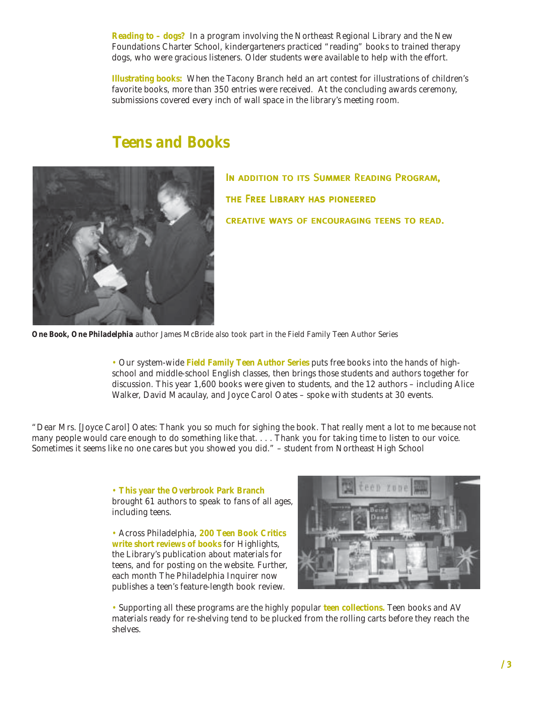**Reading to – dogs?** In a program involving the Northeast Regional Library and the New Foundations Charter School, kindergarteners practiced "reading" books to trained therapy dogs, who were gracious listeners. Older students were available to help with the effort.

**Illustrating books:** When the Tacony Branch held an art contest for illustrations of children's favorite books, more than 350 entries were received. At the concluding awards ceremony, submissions covered every inch of wall space in the library's meeting room.

### *Teens and Books*



In addition to its Summer Reading Program, the Free Library has pioneered CREATIVE WAYS OF ENCOURAGING TEENS TO READ.

*One Book, One Philadelphia author James McBride also took part in the Field Family Teen Author Series*

• Our system-wide **Field Family Teen Author Series** puts free books into the hands of highschool and middle-school English classes, then brings those students and authors together for discussion. This year 1,600 books were given to students, and the 12 authors – including Alice Walker, David Macaulay, and Joyce Carol Oates – spoke with students at 30 events.

*"Dear Mrs. [Joyce Carol] Oates: Thank you so much for sighing the book. That really ment a lot to me because not many people would care enough to do something like that. . . . Thank you for taking time to listen to our voice. Sometimes it seems like no one cares but you showed you did."* – student from Northeast High School

> • **This year the Overbrook Park Branch** brought 61 authors to speak to fans of all ages, including teens.

• Across Philadelphia, **200 Teen Book Critics write short reviews of books** for *Highlights*, the Library's publication about materials for teens, and for posting on the website. Further, each month *The Philadelphia Inquirer* now publishes a teen's feature-length book review.



• Supporting all these programs are the highly popular **teen collections.** Teen books and AV materials ready for re-shelving tend to be plucked from the rolling carts before they reach the shelves.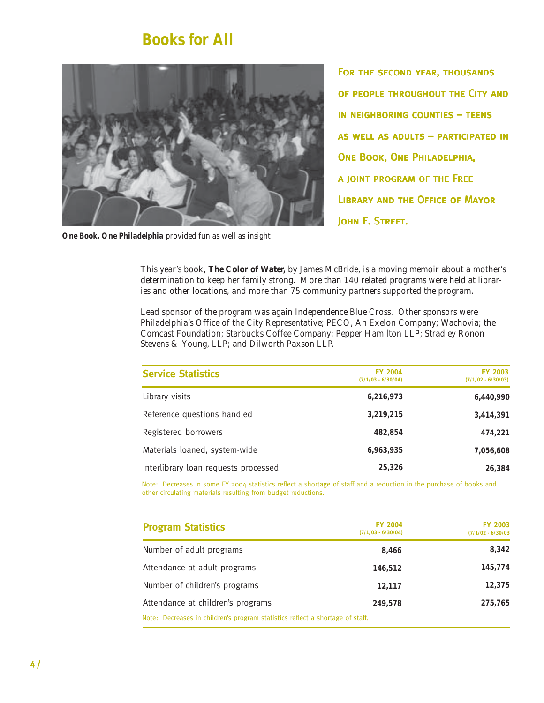### *Books for All*



*One Book, One Philadelphia provided fun as well as insight*

For the second year, thousands of people throughout the City and in neighboring counties – teens as well as adults – participated in ONE BOOK, ONE PHILADELPHIA, a joint program of the Free Library and the Office of Mayor JOHN F. STREET.

This year's book, *The Color of Water,* by James McBride, is a moving memoir about a mother's determination to keep her family strong. More than 140 related programs were held at libraries and other locations, and more than 75 community partners supported the program.

Lead sponsor of the program was again Independence Blue Cross. Other sponsors were Philadelphia's Office of the City Representative; PECO, An Exelon Company; Wachovia; the Comcast Foundation; Starbucks Coffee Company; Pepper Hamilton LLP; Stradley Ronon Stevens & Young, LLP; and Dilworth Paxson LLP.

| <b>Service Statistics</b>            | <b>FY 2004</b><br>$(7/1/03 - 6/30/04)$ | <b>FY 2003</b><br>$(7/1/02 - 6/30/03)$ |  |
|--------------------------------------|----------------------------------------|----------------------------------------|--|
| Library visits                       | 6,216,973                              | 6,440,990                              |  |
| Reference questions handled          | 3,219,215                              | 3,414,391                              |  |
| Registered borrowers                 | 482,854                                | 474,221                                |  |
| Materials loaned, system-wide        | 6,963,935                              | 7,056,608                              |  |
| Interlibrary loan requests processed | 25,326                                 | 26.384                                 |  |

Note: Decreases in some FY 2004 statistics reflect a shortage of staff and a reduction in the purchase of books and other circulating materials resulting from budget reductions.

| <b>Program Statistics</b>                                                     | <b>FY 2004</b><br>$(7/1/03 - 6/30/04)$ | <b>FY 2003</b><br>$(7/1/02 - 6/30/03)$ |
|-------------------------------------------------------------------------------|----------------------------------------|----------------------------------------|
| Number of adult programs                                                      | 8.466                                  | 8.342                                  |
| Attendance at adult programs                                                  | 146,512                                | 145,774                                |
| Number of children's programs                                                 | 12,117                                 | 12,375                                 |
| Attendance at children's programs                                             | 249,578                                | 275.765                                |
| Note: Decreases in children's program statistics reflect a shortage of staff. |                                        |                                        |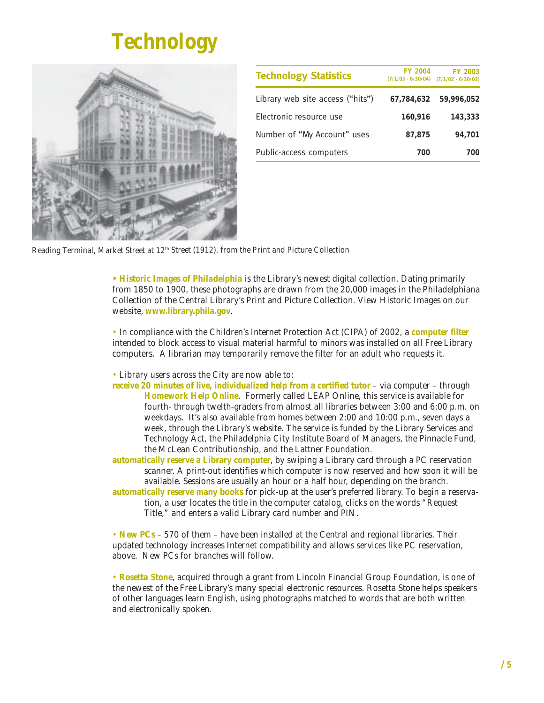# *Technology*

<span id="page-6-0"></span>

| <b>Technology Statistics</b>     | <b>FY 2004</b><br>$(7/1/03 - 6/30/04)$ | <b>FY 2003</b><br>$(7/1/02 - 6/30/03)$ |
|----------------------------------|----------------------------------------|----------------------------------------|
| Library web site access ("hits") | 67,784,632                             | 59,996,052                             |
| Electronic resource use          | 160,916                                | 143,333                                |
| Number of "My Account" uses      | 87.875                                 | 94.701                                 |
| Public-access computers          | 700                                    | 700                                    |

*Reading Terminal, Market Street at 12th Street (1912), from the Print and Picture Collection*

**•** *Historic Images of Philadelphia* is the Library's newest digital collection. Dating primarily from 1850 to 1900, these photographs are drawn from the 20,000 images in the *Philadelphiana Collection* of the Central Library's Print and Picture Collection. View *Historic Images* on our website, **www.library.phila.gov**.

• In compliance with the Children's Internet Protection Act (CIPA) of 2002, a **computer filter** intended to block access to visual material harmful to minors was installed on all Free Library computers. A librarian may temporarily remove the filter for an adult who requests it.

• Library users across the City are now able to:

**receive 20 minutes of live, individualized help from a certified tutor** – via computer – through **Homework Help Online**. Formerly called LEAP Online, this service is available for fourth- through twelth-graders from almost all libraries between 3:00 and 6:00 p.m. on weekdays. It's also available from homes between 2:00 and 10:00 p.m., seven days a week, through the Library's website. The service is funded by the Library Services and Technology Act, the Philadelphia City Institute Board of Managers, the Pinnacle Fund, the McLean Contributionship, and the Lattner Foundation.

**automatically reserve a Library computer**, by swiping a Library card through a PC reservation scanner. A print-out identifies which computer is now reserved and how soon it will be available. Sessions are usually an hour or a half hour, depending on the branch.

**automatically reserve many books** for pick-up at the user's preferred library. To begin a reservation, a user locates the title in the computer catalog, clicks on the words "Request Title," and enters a valid Library card number and PIN.

• **New PCs** – 570 of them – have been installed at the Central and regional libraries. Their updated technology increases Internet compatibility and allows services like PC reservation, above. New PCs for branches will follow.

• *Rosetta Stone*, acquired through a grant from Lincoln Financial Group Foundation, is one of the newest of the Free Library's many special electronic resources. *Rosetta Stone* helps speakers of other languages learn English, using photographs matched to words that are both written and electronically spoken.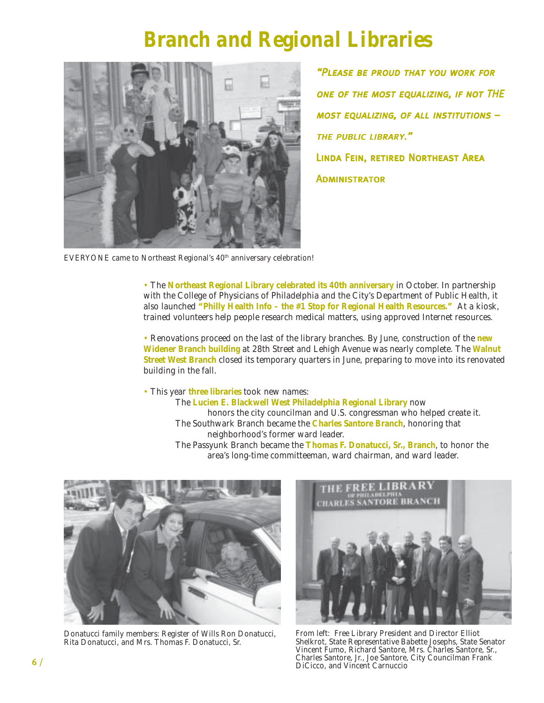## *Branch and Regional Libraries*

<span id="page-7-0"></span>

"Please be proud that you work for one of the most equalizing, if not THE most equalizing, of all institutions – the public library." Linda Fein, retired Northeast Area **ADMINISTRATOR** 

*EVERYONE came to Northeast Regional's 40th anniversary celebration!*

• The **Northeast Regional Library celebrated its 40th anniversary** in October. In partnership with the College of Physicians of Philadelphia and the City's Department of Public Health, it also launched **"Philly Health Info – the #1 Stop for Regional Health Resources."** At a kiosk, trained volunteers help people research medical matters, using approved Internet resources.

• Renovations proceed on the last of the library branches. By June, construction of the **new Widener Branch building** at 28th Street and Lehigh Avenue was nearly complete. The **Walnut Street West Branch** closed its temporary quarters in June, preparing to move into its renovated building in the fall.

• This year **three libraries** took new names:

The **Lucien E. Blackwell West Philadelphia Regional Library** now honors the city councilman and U.S. congressman who helped create it. The Southwark Branch became the **Charles Santore Branch**, honoring that neighborhood's former ward leader. The Passyunk Branch became the **Thomas F. Donatucci, Sr., Branch**, to honor the area's long-time committeeman, ward chairman, and ward leader.



*Donatucci family members: Register of Wills Ron Donatucci, Rita Donatucci, and Mrs. Thomas F. Donatucci, Sr.*



*From left: Free Library President and Director Elliot Shelkrot, State Representative Babette Josephs, State Senator Vincent Fumo, Richard Santore, Mrs. Charles Santore, Sr., Charles Santore, Jr., Joe Santore, City Councilman Frank DiCicco, and Vincent Carnuccio*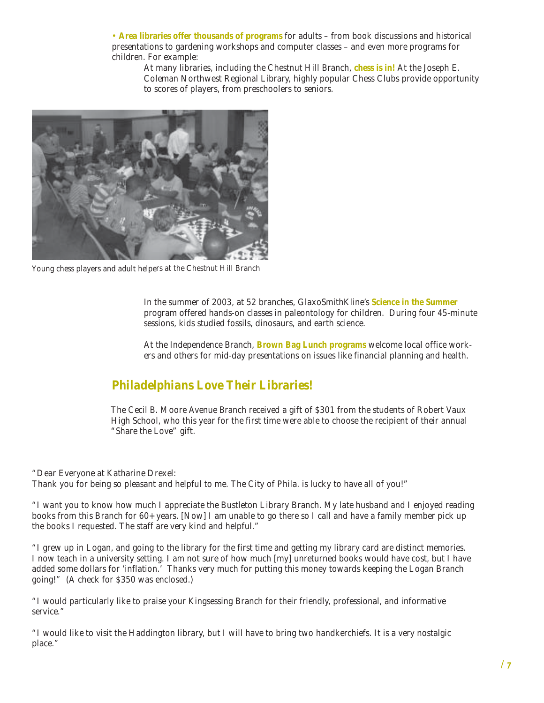• **Area libraries offer thousands of programs** for adults – from book discussions and historical presentations to gardening workshops and computer classes – and even more programs for children. For example:

At many libraries, including the Chestnut Hill Branch, **chess is in!** At the Joseph E. Coleman Northwest Regional Library, highly popular Chess Clubs provide opportunity to scores of players, from preschoolers to seniors.



*Young chess players and adult helpers at the Chestnut Hill Branch*

In the summer of 2003, at 52 branches, GlaxoSmithKline's **Science in the Summer** program offered hands-on classes in paleontology for children. During four 45-minute sessions, kids studied fossils, dinosaurs, and earth science.

At the Independence Branch, **Brown Bag Lunch programs** welcome local office workers and others for mid-day presentations on issues like financial planning and health.

### *Philadelphians Love Their Libraries!*

The Cecil B. Moore Avenue Branch received a gift of \$301 from the students of Robert Vaux High School, who this year for the first time were able to choose the recipient of their annual "Share the Love" gift.

*"Dear Everyone at Katharine Drexel: Thank you for being so pleasant and helpful to me. The City of Phila. is lucky to have all of you!"*

*"I want you to know how much I appreciate the Bustleton Library Branch. My late husband and I enjoyed reading books from this Branch for 60+ years. [Now] I am unable to go there so I call and have a family member pick up the books I requested. The staff are very kind and helpful."*

*"I grew up in Logan, and going to the library for the first time and getting my library card are distinct memories. I now teach in a university setting. I am not sure of how much [my] unreturned books would have cost, but I have added some dollars for 'inflation.' Thanks very much for putting this money towards keeping the Logan Branch going!"* (A check for \$350 was enclosed.)

*"I would particularly like to praise your Kingsessing Branch for their friendly, professional, and informative service."*

*"I would like to visit the Haddington library, but I will have to bring two handkerchiefs. It is a very nostalgic place."*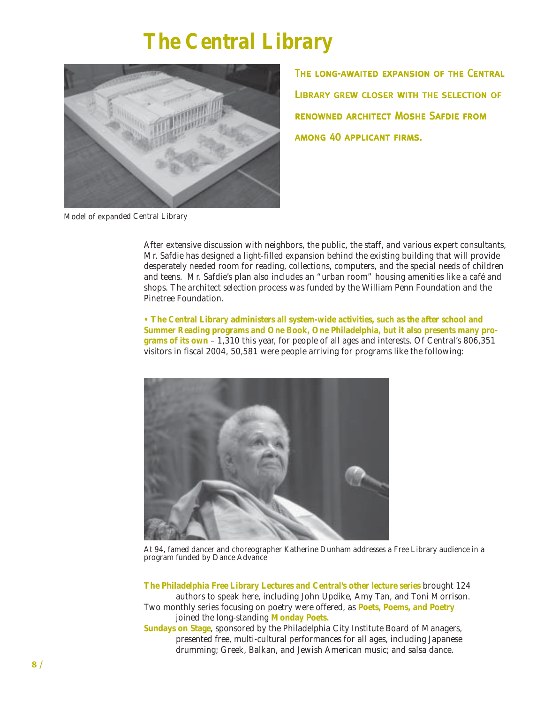# *The Central Library*

<span id="page-9-0"></span>

The long-awaited expansion of the Central Library grew closer with the selection of renowned architect Moshe Safdie from among 40 applicant firms.

*Model of expanded Central Library*

After extensive discussion with neighbors, the public, the staff, and various expert consultants, Mr. Safdie has designed a light-filled expansion behind the existing building that will provide desperately needed room for reading, collections, computers, and the special needs of children and teens. Mr. Safdie's plan also includes an "urban room" housing amenities like a café and shops. The architect selection process was funded by the William Penn Foundation and the Pinetree Foundation.

**• The Central Library administers all system-wide activities, such as the after school and Summer Reading programs and One Book, One Philadelphia, but it also presents many programs of its own** – 1,310 this year, for people of all ages and interests. Of Central's 806,351 visitors in fiscal 2004, 50,581 were people arriving for programs like the following:



*At 94, famed dancer and choreographer Katherine Dunham addresses a Free Library audience in a program funded by Dance Advance*

**The Philadelphia Free Library Lectures and Central's other lecture series** brought 124 authors to speak here, including John Updike, Amy Tan, and Toni Morrison. *Two* monthly series focusing on poetry were offered, as **Poets, Poems, and Poetry** joined the long-standing **Monday Poets.**

**Sundays on Stage**, sponsored by the Philadelphia City Institute Board of Managers, presented free, multi-cultural performances for all ages, including Japanese drumming; Greek, Balkan, and Jewish American music; and salsa dance.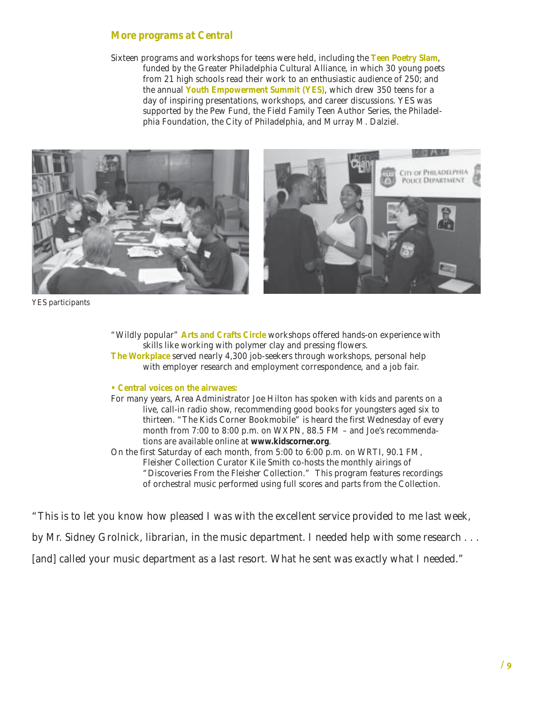#### *More programs at Central*

Sixteen programs and workshops for teens were held, including the **Teen Poetry Slam**, funded by the Greater Philadelphia Cultural Alliance, in which 30 young poets from 21 high schools read their work to an enthusiastic audience of 250; and the annual **Youth Empowerment Summit (YES)**, which drew 350 teens for a day of inspiring presentations, workshops, and career discussions. YES was supported by the Pew Fund, the Field Family Teen Author Series, the Philadelphia Foundation, the City of Philadelphia, and Murray M. Dalziel.



*YES participants*

"Wildly popular" **Arts and Crafts Circle** workshops offered hands-on experience with skills like working with polymer clay and pressing flowers. **The Workplace** served nearly 4,300 job-seekers through workshops, personal help with employer research and employment correspondence, and a job fair.

#### **• Central voices on the airwaves:**

For many years, Area Administrator Joe Hilton has spoken with kids and parents on a live, call-in radio show, recommending good books for youngsters aged six to thirteen. "The Kids Corner Bookmobile" is heard the first Wednesday of every month from 7:00 to 8:00 p.m. on WXPN, 88.5 FM – and Joe's recommendations are available online at **www.kidscorner.org**.

On the first Saturday of each month, from 5:00 to 6:00 p.m. on WRTI, 90.1 FM, Fleisher Collection Curator Kile Smith co-hosts the monthly airings of "Discoveries From the Fleisher Collection." This program features recordings of orchestral music performed using full scores and parts from the Collection.

*"This is to let you know how pleased I was with the excellent service provided to me last week, by Mr. Sidney Grolnick, librarian, in the music department. I needed help with some research . . . [and] called your music department as a last resort. What he sent was exactly what I needed."*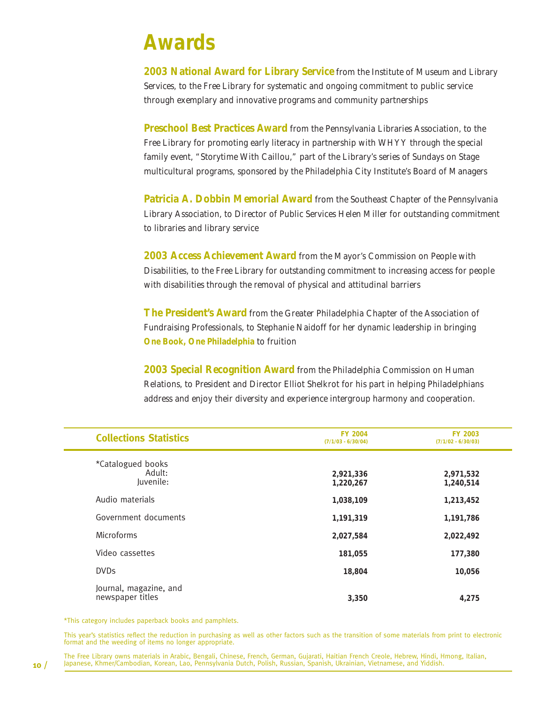## <span id="page-11-0"></span>*Awards*

**2003 National Award for Library Service** from the Institute of Museum and Library Services, to the Free Library for systematic and ongoing commitment to public service through exemplary and innovative programs and community partnerships

**Preschool Best Practices Award** from the Pennsylvania Libraries Association, to the Free Library for promoting early literacy in partnership with WHYY through the special family event, "Storytime With Caillou," part of the Library's series of Sundays on Stage multicultural programs, sponsored by the Philadelphia City Institute's Board of Managers

**Patricia A. Dobbin Memorial Award** from the Southeast Chapter of the Pennsylvania Library Association, to Director of Public Services Helen Miller for outstanding commitment to libraries and library service

**2003 Access Achievement Award** from the Mayor's Commission on People with Disabilities, to the Free Library for outstanding commitment to increasing access for people with disabilities through the removal of physical and attitudinal barriers

**The President's Award** from the Greater Philadelphia Chapter of the Association of Fundraising Professionals, to Stephanie Naidoff for her dynamic leadership in bringing **One Book, One Philadelphia** to fruition

**2003 Special Recognition Award** from the Philadelphia Commission on Human Relations, to President and Director Elliot Shelkrot for his part in helping Philadelphians address and enjoy their diversity and experience intergroup harmony and cooperation.

| <b>Collections Statistics</b>              | <b>FY 2004</b><br>$(7/1/03 - 6/30/04)$ | <b>FY 2003</b><br>$(7/1/02 - 6/30/03)$ |  |  |
|--------------------------------------------|----------------------------------------|----------------------------------------|--|--|
| *Catalogued books<br>Adult:<br>Juvenile:   | 2,921,336<br>1,220,267                 | 2,971,532<br>1,240,514                 |  |  |
| Audio materials                            | 1,038,109                              | 1,213,452                              |  |  |
| Government documents                       | 1,191,319                              | 1,191,786                              |  |  |
| <b>Microforms</b>                          | 2,027,584                              | 2,022,492                              |  |  |
| Video cassettes                            | 181,055                                | 177,380                                |  |  |
| <b>DVDs</b>                                | 18,804                                 | 10,056                                 |  |  |
| Journal, magazine, and<br>newspaper titles | 3,350                                  | 4,275                                  |  |  |

\*This category includes paperback books and pamphlets.

This year's statistics reflect the reduction in purchasing as well as other factors such as the transition of some materials from print to electronic format and the weeding of items no longer appropriate.

The Free Library owns materials in Arabic, Bengali, Chinese, French, German, Gujarati, Haitian French Creole, Hebrew, Hindi, Hmong, Italian,<br>Japanese, Khmer/Cambodian, Korean, Lao, Pennsylvania Dutch, Polish, Russian, Span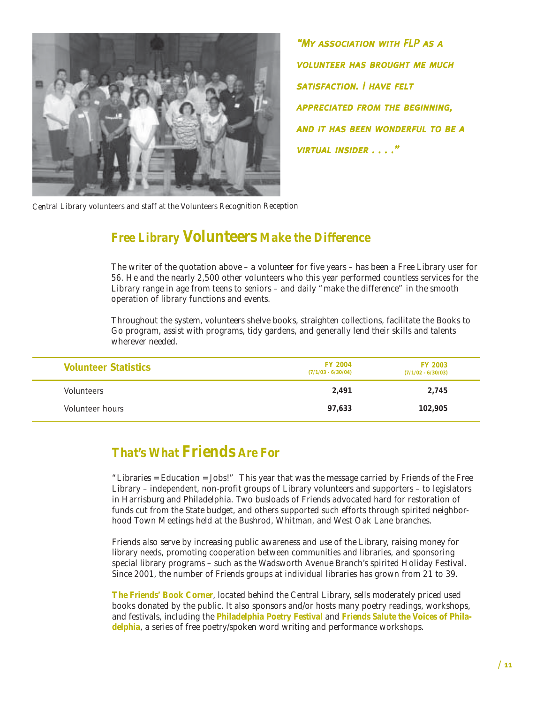<span id="page-12-0"></span>

"My association with FLP as a volunteer has brought me much satisfaction. I have felt **APPRECIATED FROM THE BEGINNING,** and it has been wonderful to be a virtual insider . . . ."

*Central Library volunteers and staff at the Volunteers Recognition Reception*

### *Free Library Volunteers Make the Difference*

The writer of the quotation above – a volunteer for five years – has been a Free Library user for 56. He and the nearly 2,500 other volunteers who this year performed countless services for the Library range in age from teens to seniors – and daily "make the difference" in the smooth operation of library functions and events.

Throughout the system, volunteers shelve books, straighten collections, facilitate the Books to Go program, assist with programs, tidy gardens, and generally lend their skills and talents wherever needed.

| <b>Volunteer Statistics</b> | <b>FY 2004</b><br>$(7/1/03 - 6/30/04)$ | <b>FY 2003</b><br>$(7/1/02 - 6/30/03)$ |  |
|-----------------------------|----------------------------------------|----------------------------------------|--|
| Volunteers                  | 2.491                                  | 2,745                                  |  |
| Volunteer hours             | 97.633                                 | 102,905                                |  |

### *That's What Friends Are For*

"Libraries = Education = Jobs!" This year that was the message carried by Friends of the Free Library – independent, non-profit groups of Library volunteers and supporters – to legislators in Harrisburg and Philadelphia. Two busloads of Friends advocated hard for restoration of funds cut from the State budget, and others supported such efforts through spirited neighborhood Town Meetings held at the Bushrod, Whitman, and West Oak Lane branches.

Friends also serve by increasing public awareness and use of the Library, raising money for library needs, promoting cooperation between communities and libraries, and sponsoring special library programs – such as the Wadsworth Avenue Branch's spirited Holiday Festival. Since 2001, the number of Friends groups at individual libraries has grown from 21 to 39.

**The Friends' Book Corner**, located behind the Central Library, sells moderately priced used books donated by the public. It also sponsors and/or hosts many poetry readings, workshops, and festivals, including the **Philadelphia Poetry Festival** and **Friends Salute the Voices of Philadelphia**, a series of free poetry/spoken word writing and performance workshops.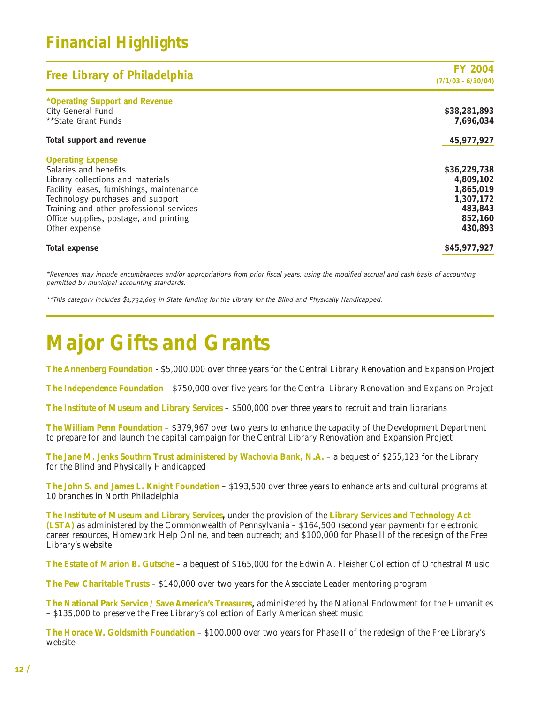### *Financial Highlights*

| <b>Free Library of Philadelphia</b>                                                                                                                                                                                                                                            | <b>FY 2004</b><br>$(7/1/03 - 6/30/04)$                                               |
|--------------------------------------------------------------------------------------------------------------------------------------------------------------------------------------------------------------------------------------------------------------------------------|--------------------------------------------------------------------------------------|
| *Operating Support and Revenue<br>City General Fund<br>**State Grant Funds                                                                                                                                                                                                     | \$38,281,893<br>7,696,034                                                            |
| <b>Total support and revenue</b>                                                                                                                                                                                                                                               | 45,977,927                                                                           |
| <b>Operating Expense</b><br>Salaries and benefits<br>Library collections and materials<br>Facility leases, furnishings, maintenance<br>Technology purchases and support<br>Training and other professional services<br>Office supplies, postage, and printing<br>Other expense | \$36,229,738<br>4,809,102<br>1,865,019<br>1,307,172<br>483,843<br>852,160<br>430,893 |
| <b>Total expense</b>                                                                                                                                                                                                                                                           | \$45,977,927                                                                         |

\*Revenues may include encumbrances and/or appropriations from prior fiscal years, using the modified accrual and cash basis of accounting permitted by municipal accounting standards.

\*\*This category includes \$1,732,605 in State funding for the Library for the Blind and Physically Handicapped.

# *Major Gifts and Grants*

**The Annenberg Foundation -** \$5,000,000 over three years for the Central Library Renovation and Expansion Project

**The Independence Foundation** – \$750,000 over five years for the Central Library Renovation and Expansion Project

**The Institute of Museum and Library Services** – \$500,000 over three years to recruit and train librarians

**The William Penn Foundation** – \$379,967 over two years to enhance the capacity of the Development Department to prepare for and launch the capital campaign for the Central Library Renovation and Expansion Project

**The Jane M. Jenks Southrn Trust administered by Wachovia Bank, N.A.** – a bequest of \$255,123 for the Library for the Blind and Physically Handicapped

**The John S. and James L. Knight Foundation** – \$193,500 over three years to enhance arts and cultural programs at 10 branches in North Philadelphia

**The Institute of Museum and Library Services,** under the provision of the **Library Services and Technology Act (LSTA)** as administered by the Commonwealth of Pennsylvania – \$164,500 (second year payment) for electronic career resources, Homework Help Online, and teen outreach; and \$100,000 for Phase II of the redesign of the Free Library's website

**The Estate of Marion B. Gutsche** – a bequest of \$165,000 for the Edwin A. Fleisher Collection of Orchestral Music

**The Pew Charitable Trusts** – \$140,000 over two years for the Associate Leader mentoring program

**The National Park Service / Save America's Treasures,** administered by the National Endowment for the Humanities – \$135,000 to preserve the Free Library's collection of Early American sheet music

**The Horace W. Goldsmith Foundation** – \$100,000 over two years for Phase II of the redesign of the Free Library's website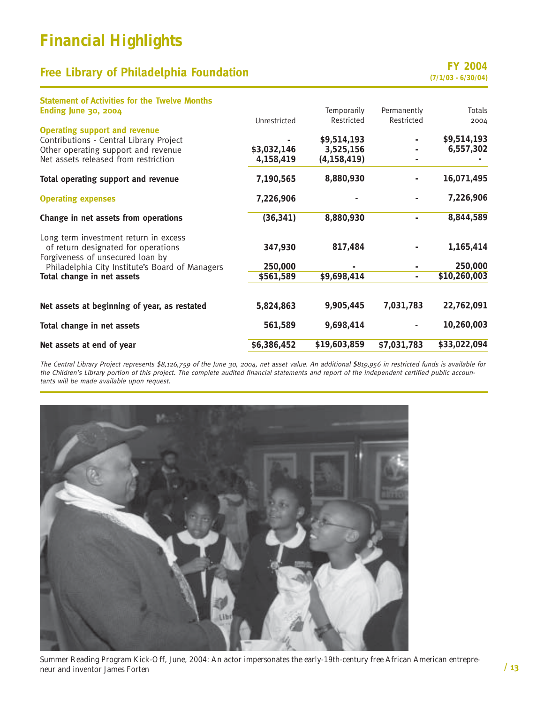### *Financial Highlights*

### **Free Library of Philadelphia Foundation**<br>(7/1/03 - 6/30/04)

| <b>Statement of Activities for the Twelve Months</b>                    |              |               |                          |               |
|-------------------------------------------------------------------------|--------------|---------------|--------------------------|---------------|
| <b>Ending June 30, 2004</b>                                             |              | Temporarily   | Permanently              | <b>Totals</b> |
|                                                                         | Unrestricted | Restricted    | Restricted               | 2004          |
| <b>Operating support and revenue</b>                                    |              |               |                          |               |
| Contributions - Central Library Project                                 |              | \$9,514,193   |                          | \$9,514,193   |
| Other operating support and revenue                                     | \$3,032,146  | 3,525,156     |                          | 6,557,302     |
| Net assets released from restriction                                    | 4,158,419    | (4, 158, 419) |                          |               |
| Total operating support and revenue                                     | 7,190,565    | 8,880,930     |                          | 16,071,495    |
| <b>Operating expenses</b>                                               | 7,226,906    |               |                          | 7,226,906     |
| Change in net assets from operations                                    | (36, 341)    | 8,880,930     |                          | 8,844,589     |
| Long term investment return in excess                                   |              |               |                          |               |
| of return designated for operations<br>Forgiveness of unsecured loan by | 347,930      | 817,484       |                          | 1,165,414     |
| Philadelphia City Institute's Board of Managers                         | 250,000      |               |                          | 250,000       |
| Total change in net assets                                              | \$561,589    | \$9,698,414   | $\overline{\phantom{a}}$ | \$10,260,003  |
| Net assets at beginning of year, as restated                            | 5,824,863    | 9,905,445     | 7,031,783                | 22,762,091    |
|                                                                         |              |               |                          |               |
| Total change in net assets                                              | 561,589      | 9,698,414     |                          | 10,260,003    |
| Net assets at end of year                                               | \$6,386,452  | \$19,603,859  | \$7,031,783              | \$33,022,094  |
|                                                                         |              |               |                          |               |

The Central Library Project represents \$8,126,759 of the June 30, 2004, net asset value. An additional \$819,956 in restricted funds is available for the Children's Library portion of this project. The complete audited financial statements and report of the independent certified public accountants will be made available upon request.



*Summer Reading Program Kick-Off, June, 2004: An actor impersonates the early-19th-century free African American entrepreneur and inventor James Forten*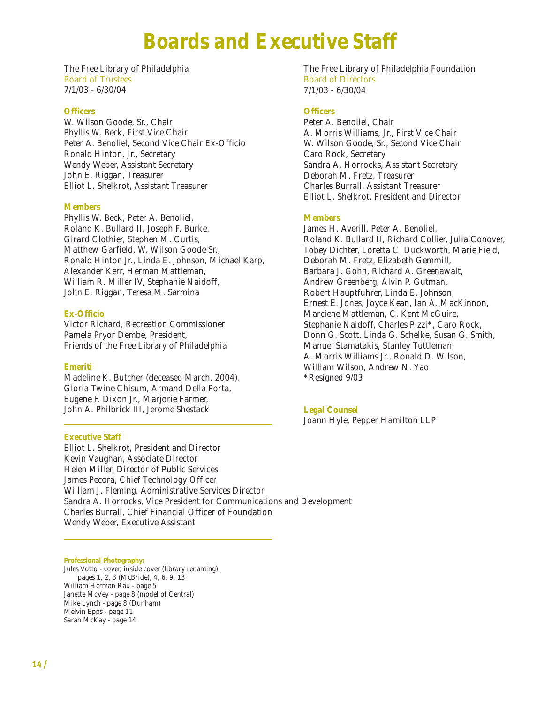## *Boards and Executive Staff*

<span id="page-15-0"></span>The Free Library of Philadelphia Board of Trustees 7/1/03 - 6/30/04

#### **Officers**

W. Wilson Goode, Sr., Chair Phyllis W. Beck, First Vice Chair Peter A. Benoliel, Second Vice Chair Ex-Officio Ronald Hinton, Jr., Secretary Wendy Weber, Assistant Secretary John E. Riggan, Treasurer Elliot L. Shelkrot, Assistant Treasurer

#### **Members**

Phyllis W. Beck, Peter A. Benoliel, Roland K. Bullard II, Joseph F. Burke, Girard Clothier, Stephen M. Curtis, Matthew Garfield, W. Wilson Goode Sr., Ronald Hinton Jr., Linda E. Johnson, Michael Karp, Alexander Kerr, Herman Mattleman, William R. Miller IV, Stephanie Naidoff, John E. Riggan, Teresa M. Sarmina

#### **Ex-Officio**

Victor Richard, Recreation Commissioner Pamela Pryor Dembe, President, Friends of the Free Library of Philadelphia

#### **Emeriti**

Madeline K. Butcher *(deceased March, 2004),* Gloria Twine Chisum, Armand Della Porta, Eugene F. Dixon Jr., Marjorie Farmer, John A. Philbrick III, Jerome Shestack

#### **Executive Staff**

The Free Library of Philadelphia Foundation Board of Directors 7/1/03 - 6/30/04

#### **Officers**

Peter A. Benoliel, Chair A. Morris Williams, Jr., First Vice Chair W. Wilson Goode, Sr., Second Vice Chair Caro Rock, Secretary Sandra A. Horrocks, Assistant Secretary Deborah M. Fretz, Treasurer Charles Burrall, Assistant Treasurer Elliot L. Shelkrot, President and Director

#### **Members**

James H. Averill, Peter A. Benoliel, Roland K. Bullard II, Richard Collier, Julia Conover, Tobey Dichter, Loretta C. Duckworth, Marie Field, Deborah M. Fretz, Elizabeth Gemmill, Barbara J. Gohn, Richard A. Greenawalt, Andrew Greenberg, Alvin P. Gutman, Robert Hauptfuhrer, Linda E. Johnson, Ernest E. Jones, Joyce Kean, Ian A. MacKinnon, Marciene Mattleman, C. Kent McGuire, Stephanie Naidoff, Charles Pizzi\*, Caro Rock, Donn G. Scott, Linda G. Schelke, Susan G. Smith, Manuel Stamatakis, Stanley Tuttleman, A. Morris Williams Jr., Ronald D. Wilson, William Wilson, Andrew N. Yao *\*Resigned 9/03*

#### **Legal Counsel**

Joann Hyle, Pepper Hamilton LLP

Elliot L. Shelkrot, President and Director Kevin Vaughan, Associate Director Helen Miller, Director of Public Services James Pecora, Chief Technology Officer William J. Fleming, Administrative Services Director Sandra A. Horrocks, Vice President for Communications and Development Charles Burrall, Chief Financial Officer of Foundation Wendy Weber, Executive Assistant

**Professional Photography:**

Jules Votto - cover, inside cover (library renaming), pages 1, 2, 3 (McBride), 4, 6, 9, 13 William Herman Rau - page 5 Janette McVey - page 8 (model of Central) Mike Lynch - page 8 (Dunham) Melvin Epps - page 11 Sarah McKay - page 14